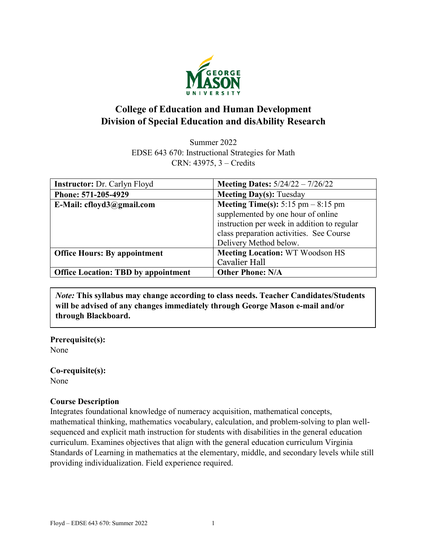

# **College of Education and Human Development Division of Special Education and disAbility Research**

Summer 2022 EDSE 643 670: Instructional Strategies for Math CRN: 43975, 3 – Credits

| <b>Instructor: Dr. Carlyn Floyd</b>        | <b>Meeting Dates:</b> $5/24/22 - 7/26/22$   |  |  |
|--------------------------------------------|---------------------------------------------|--|--|
| Phone: 571-205-4929                        | <b>Meeting Day(s): Tuesday</b>              |  |  |
| E-Mail: cfloyd3@gmail.com                  | <b>Meeting Time(s):</b> 5:15 pm $-8:15$ pm  |  |  |
|                                            | supplemented by one hour of online          |  |  |
|                                            | instruction per week in addition to regular |  |  |
|                                            | class preparation activities. See Course    |  |  |
|                                            | Delivery Method below.                      |  |  |
| <b>Office Hours: By appointment</b>        | <b>Meeting Location: WT Woodson HS</b>      |  |  |
|                                            | Cavalier Hall                               |  |  |
| <b>Office Location: TBD by appointment</b> | <b>Other Phone: N/A</b>                     |  |  |

*Note:* **This syllabus may change according to class needs. Teacher Candidates/Students will be advised of any changes immediately through George Mason e-mail and/or through Blackboard.**

**Prerequisite(s):** None

# **Co-requisite(s):**

None

## **Course Description**

Integrates foundational knowledge of numeracy acquisition, mathematical concepts, mathematical thinking, mathematics vocabulary, calculation, and problem-solving to plan wellsequenced and explicit math instruction for students with disabilities in the general education curriculum. Examines objectives that align with the general education curriculum Virginia Standards of Learning in mathematics at the elementary, middle, and secondary levels while still providing individualization. Field experience required.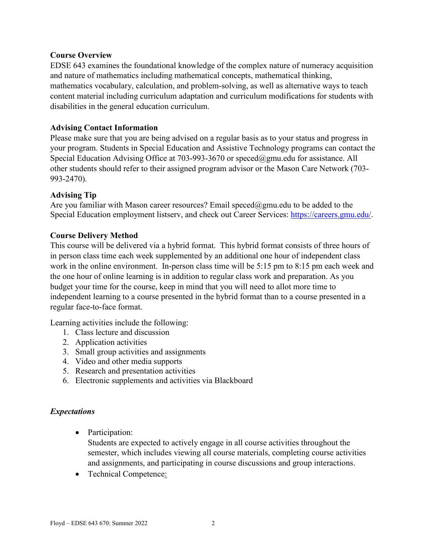#### **Course Overview**

EDSE 643 examines the foundational knowledge of the complex nature of numeracy acquisition and nature of mathematics including mathematical concepts, mathematical thinking, mathematics vocabulary, calculation, and problem-solving, as well as alternative ways to teach content material including curriculum adaptation and curriculum modifications for students with disabilities in the general education curriculum.

#### **Advising Contact Information**

Please make sure that you are being advised on a regular basis as to your status and progress in your program. Students in Special Education and Assistive Technology programs can contact the Special Education Advising Office at 703-993-3670 or [speced@gmu.edu](mailto:speced@gmu.edu) for assistance. All other students should refer to their assigned program advisor or the Mason Care Network (703- 993-2470).

#### **Advising Tip**

Are you familiar with Mason career resources? Email speced $@g$ gmu.edu to be added to the Special Education employment listserv, and check out Career Services: [https://careers.gmu.edu/.](https://careers.gmu.edu/)

#### **Course Delivery Method**

This course will be delivered via a hybrid format. This hybrid format consists of three hours of in person class time each week supplemented by an additional one hour of independent class work in the online environment. In-person class time will be 5:15 pm to 8:15 pm each week and the one hour of online learning is in addition to regular class work and preparation. As you budget your time for the course, keep in mind that you will need to allot more time to independent learning to a course presented in the hybrid format than to a course presented in a regular face-to-face format.

Learning activities include the following:

- 1. Class lecture and discussion
- 2. Application activities
- 3. Small group activities and assignments
- 4. Video and other media supports
- 5. Research and presentation activities
- 6. Electronic supplements and activities via Blackboard

## *Expectations*

• Participation:

Students are expected to actively engage in all course activities throughout the semester, which includes viewing all course materials, completing course activities and assignments, and participating in course discussions and group interactions.

• Technical Competence: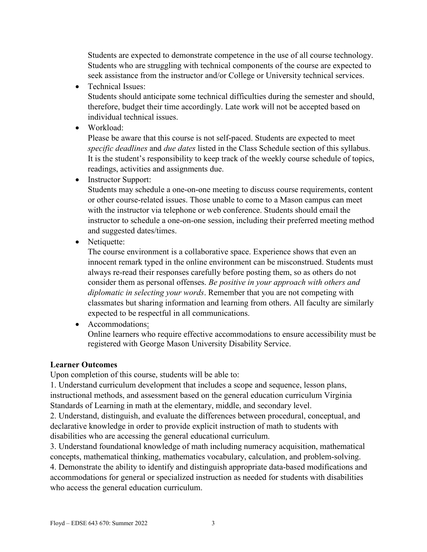Students are expected to demonstrate competence in the use of all course technology. Students who are struggling with technical components of the course are expected to seek assistance from the instructor and/or College or University technical services.

• Technical Issues:

Students should anticipate some technical difficulties during the semester and should, therefore, budget their time accordingly. Late work will not be accepted based on individual technical issues.

• Workload:

Please be aware that this course is not self-paced. Students are expected to meet *specific deadlines* and *due dates* listed in the Class Schedule section of this syllabus. It is the student's responsibility to keep track of the weekly course schedule of topics, readings, activities and assignments due.

• Instructor Support:

Students may schedule a one-on-one meeting to discuss course requirements, content or other course-related issues. Those unable to come to a Mason campus can meet with the instructor via telephone or web conference. Students should email the instructor to schedule a one-on-one session, including their preferred meeting method and suggested dates/times.

• Netiquette:

The course environment is a collaborative space. Experience shows that even an innocent remark typed in the online environment can be misconstrued. Students must always re-read their responses carefully before posting them, so as others do not consider them as personal offenses. *Be positive in your approach with others and diplomatic in selecting your words*. Remember that you are not competing with classmates but sharing information and learning from others. All faculty are similarly expected to be respectful in all communications.

• Accommodations: Online learners who require effective accommodations to ensure accessibility must be registered with George Mason University Disability Service.

# **Learner Outcomes**

Upon completion of this course, students will be able to:

1. Understand curriculum development that includes a scope and sequence, lesson plans, instructional methods, and assessment based on the general education curriculum Virginia Standards of Learning in math at the elementary, middle, and secondary level.

2. Understand, distinguish, and evaluate the differences between procedural, conceptual, and declarative knowledge in order to provide explicit instruction of math to students with disabilities who are accessing the general educational curriculum.

3. Understand foundational knowledge of math including numeracy acquisition, mathematical concepts, mathematical thinking, mathematics vocabulary, calculation, and problem-solving.

4. Demonstrate the ability to identify and distinguish appropriate data-based modifications and accommodations for general or specialized instruction as needed for students with disabilities who access the general education curriculum.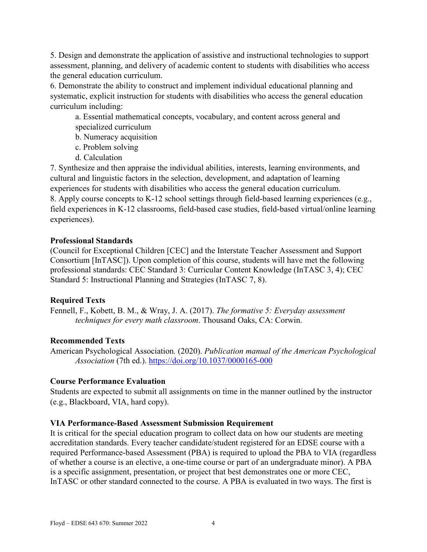5. Design and demonstrate the application of assistive and instructional technologies to support assessment, planning, and delivery of academic content to students with disabilities who access the general education curriculum.

6. Demonstrate the ability to construct and implement individual educational planning and systematic, explicit instruction for students with disabilities who access the general education curriculum including:

a. Essential mathematical concepts, vocabulary, and content across general and specialized curriculum

b. Numeracy acquisition

- c. Problem solving
- d. Calculation

7. Synthesize and then appraise the individual abilities, interests, learning environments, and cultural and linguistic factors in the selection, development, and adaptation of learning experiences for students with disabilities who access the general education curriculum. 8. Apply course concepts to K-12 school settings through field-based learning experiences (e.g., field experiences in K-12 classrooms, field-based case studies, field-based virtual/online learning experiences).

## **Professional Standards**

(Council for Exceptional Children [CEC] and the Interstate Teacher Assessment and Support Consortium [InTASC]). Upon completion of this course, students will have met the following professional standards: CEC Standard 3: Curricular Content Knowledge (InTASC 3, 4); CEC Standard 5: Instructional Planning and Strategies (InTASC 7, 8).

## **Required Texts**

Fennell, F., Kobett, B. M., & Wray, J. A. (2017). *The formative 5: Everyday assessment techniques for every math classroom*. Thousand Oaks, CA: Corwin.

# **Recommended Texts**

American Psychological Association*.* (2020). *Publication manual of the American Psychological Association* (7th ed.). <https://doi.org/10.1037/0000165-000>

# **Course Performance Evaluation**

Students are expected to submit all assignments on time in the manner outlined by the instructor (e.g., Blackboard, VIA, hard copy).

# **VIA Performance-Based Assessment Submission Requirement**

It is critical for the special education program to collect data on how our students are meeting accreditation standards. Every teacher candidate/student registered for an EDSE course with a required Performance-based Assessment (PBA) is required to upload the PBA to VIA (regardless of whether a course is an elective, a one-time course or part of an undergraduate minor). A PBA is a specific assignment, presentation, or project that best demonstrates one or more CEC, InTASC or other standard connected to the course. A PBA is evaluated in two ways. The first is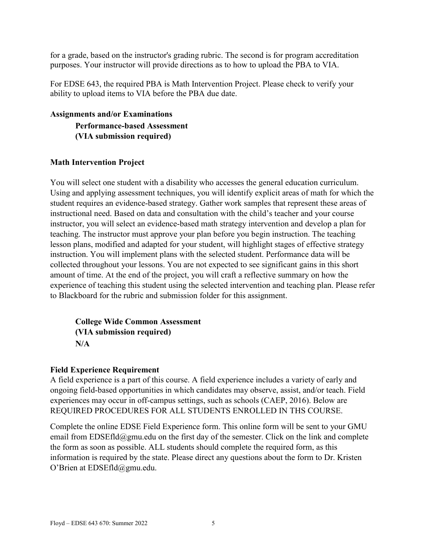for a grade, based on the instructor's grading rubric. The second is for program accreditation purposes. Your instructor will provide directions as to how to upload the PBA to VIA.

For EDSE 643, the required PBA is Math Intervention Project. Please check to verify your ability to upload items to VIA before the PBA due date.

## **Assignments and/or Examinations**

**Performance-based Assessment (VIA submission required)**

## **Math Intervention Project**

You will select one student with a disability who accesses the general education curriculum. Using and applying assessment techniques, you will identify explicit areas of math for which the student requires an evidence-based strategy. Gather work samples that represent these areas of instructional need. Based on data and consultation with the child's teacher and your course instructor, you will select an evidence-based math strategy intervention and develop a plan for teaching. The instructor must approve your plan before you begin instruction. The teaching lesson plans, modified and adapted for your student, will highlight stages of effective strategy instruction. You will implement plans with the selected student. Performance data will be collected throughout your lessons. You are not expected to see significant gains in this short amount of time. At the end of the project, you will craft a reflective summary on how the experience of teaching this student using the selected intervention and teaching plan. Please refer to Blackboard for the rubric and submission folder for this assignment.

**College Wide Common Assessment (VIA submission required) N/A**

## **Field Experience Requirement**

A field experience is a part of this course. A field experience includes a variety of early and ongoing field-based opportunities in which candidates may observe, assist, and/or teach. Field experiences may occur in off-campus settings, such as schools (CAEP, 2016). Below are REQUIRED PROCEDURES FOR ALL STUDENTS ENROLLED IN THS COURSE.

Complete the online EDSE Field Experience form. This online form will be sent to your GMU email from EDSEfld@gmu.edu on the first day of the semester. Click on the link and complete the form as soon as possible. ALL students should complete the required form, as this information is required by the state. Please direct any questions about the form to Dr. Kristen O'Brien at EDSEfld@gmu.edu.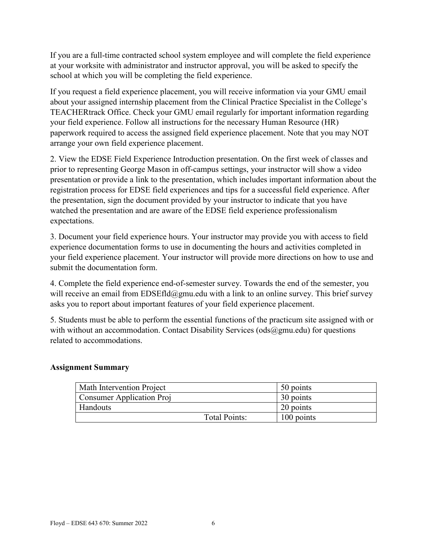If you are a full-time contracted school system employee and will complete the field experience at your worksite with administrator and instructor approval, you will be asked to specify the school at which you will be completing the field experience.

If you request a field experience placement, you will receive information via your GMU email about your assigned internship placement from the Clinical Practice Specialist in the College's TEACHERtrack Office. Check your GMU email regularly for important information regarding your field experience. Follow all instructions for the necessary Human Resource (HR) paperwork required to access the assigned field experience placement. Note that you may NOT arrange your own field experience placement.

2. View the EDSE Field Experience Introduction presentation. On the first week of classes and prior to representing George Mason in off-campus settings, your instructor will show a video presentation or provide a link to the presentation, which includes important information about the registration process for EDSE field experiences and tips for a successful field experience. After the presentation, sign the document provided by your instructor to indicate that you have watched the presentation and are aware of the EDSE field experience professionalism expectations.

3. Document your field experience hours. Your instructor may provide you with access to field experience documentation forms to use in documenting the hours and activities completed in your field experience placement. Your instructor will provide more directions on how to use and submit the documentation form.

4. Complete the field experience end-of-semester survey. Towards the end of the semester, you will receive an email from EDSEfld@gmu.edu with a link to an online survey. This brief survey asks you to report about important features of your field experience placement.

5. Students must be able to perform the essential functions of the practicum site assigned with or with without an accommodation. Contact Disability Services ( $\text{ods}(\partial \text{gmu.edu})$ ) for questions related to accommodations.

## **Assignment Summary**

| Math Intervention Project        |                      | 50 points    |
|----------------------------------|----------------------|--------------|
| <b>Consumer Application Proj</b> |                      | 30 points    |
| Handouts                         |                      | 20 points    |
|                                  | <b>Total Points:</b> | $100$ points |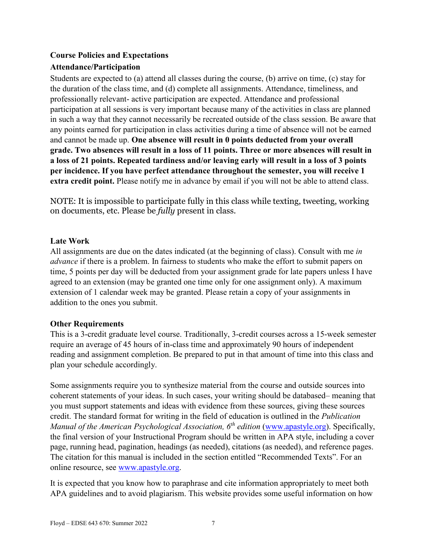# **Course Policies and Expectations Attendance/Participation**

Students are expected to (a) attend all classes during the course, (b) arrive on time, (c) stay for the duration of the class time, and (d) complete all assignments. Attendance, timeliness, and professionally relevant- active participation are expected. Attendance and professional participation at all sessions is very important because many of the activities in class are planned in such a way that they cannot necessarily be recreated outside of the class session. Be aware that any points earned for participation in class activities during a time of absence will not be earned and cannot be made up. **One absence will result in 0 points deducted from your overall grade. Two absences will result in a loss of 11 points. Three or more absences will result in a loss of 21 points. Repeated tardiness and/or leaving early will result in a loss of 3 points per incidence. If you have perfect attendance throughout the semester, you will receive 1 extra credit point.** Please notify me in advance by email if you will not be able to attend class.

NOTE: It is impossible to participate fully in this class while texting, tweeting, working on documents, etc. Please be *fully* present in class.

# **Late Work**

All assignments are due on the dates indicated (at the beginning of class). Consult with me *in advance* if there is a problem. In fairness to students who make the effort to submit papers on time, 5 points per day will be deducted from your assignment grade for late papers unless I have agreed to an extension (may be granted one time only for one assignment only). A maximum extension of 1 calendar week may be granted. Please retain a copy of your assignments in addition to the ones you submit.

## **Other Requirements**

This is a 3-credit graduate level course. Traditionally, 3-credit courses across a 15-week semester require an average of 45 hours of in-class time and approximately 90 hours of independent reading and assignment completion. Be prepared to put in that amount of time into this class and plan your schedule accordingly.

Some assignments require you to synthesize material from the course and outside sources into coherent statements of your ideas. In such cases, your writing should be databased– meaning that you must support statements and ideas with evidence from these sources, giving these sources credit. The standard format for writing in the field of education is outlined in the *Publication Manual of the American Psychological Association, 6th edition* [\(www.apastyle.org\)](http://www.apastyle.org/). Specifically, the final version of your Instructional Program should be written in APA style, including a cover page, running head, pagination, headings (as needed), citations (as needed), and reference pages. The citation for this manual is included in the section entitled "Recommended Texts". For an online resource, see [www.apastyle.org.](http://www.apastyle.org/)

It is expected that you know how to paraphrase and cite information appropriately to meet both APA guidelines and to avoid plagiarism. This website provides some useful information on how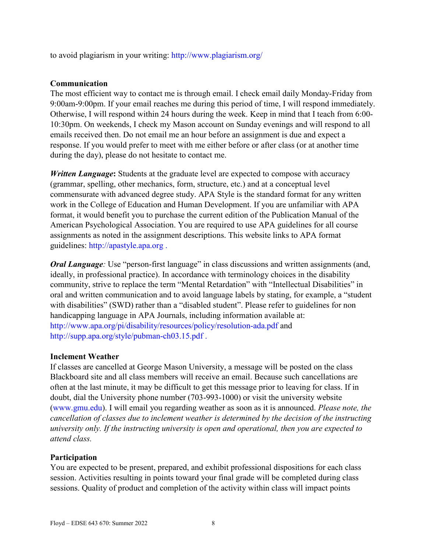to avoid plagiarism in your writing: http://www.plagiarism.org/

#### **Communication**

The most efficient way to contact me is through email. I check email daily Monday-Friday from 9:00am-9:00pm. If your email reaches me during this period of time, I will respond immediately. Otherwise, I will respond within 24 hours during the week. Keep in mind that I teach from 6:00- 10:30pm. On weekends, I check my Mason account on Sunday evenings and will respond to all emails received then. Do not email me an hour before an assignment is due and expect a response. If you would prefer to meet with me either before or after class (or at another time during the day), please do not hesitate to contact me.

*Written Language***:** Students at the graduate level are expected to compose with accuracy (grammar, spelling, other mechanics, form, structure, etc.) and at a conceptual level commensurate with advanced degree study. APA Style is the standard format for any written work in the College of Education and Human Development. If you are unfamiliar with APA format, it would benefit you to purchase the current edition of the Publication Manual of the American Psychological Association. You are required to use APA guidelines for all course assignments as noted in the assignment descriptions. This website links to APA format guidelines: http://apastyle.apa.org .

*Oral Language*: Use "person-first language" in class discussions and written assignments (and, ideally, in professional practice). In accordance with terminology choices in the disability community, strive to replace the term "Mental Retardation" with "Intellectual Disabilities" in oral and written communication and to avoid language labels by stating, for example, a "student with disabilities" (SWD) rather than a "disabled student". Please refer to guidelines for non handicapping language in APA Journals, including information available at: http://www.apa.org/pi/disability/resources/policy/resolution-ada.pdf and http://supp.apa.org/style/pubman-ch03.15.pdf .

#### **Inclement Weather**

If classes are cancelled at George Mason University, a message will be posted on the class Blackboard site and all class members will receive an email. Because such cancellations are often at the last minute, it may be difficult to get this message prior to leaving for class. If in doubt, dial the University phone number (703-993-1000) or visit the university website (www.gmu.edu). I will email you regarding weather as soon as it is announced. *Please note, the cancellation of classes due to inclement weather is determined by the decision of the instructing university only. If the instructing university is open and operational, then you are expected to attend class.*

## **Participation**

You are expected to be present, prepared, and exhibit professional dispositions for each class session. Activities resulting in points toward your final grade will be completed during class sessions. Quality of product and completion of the activity within class will impact points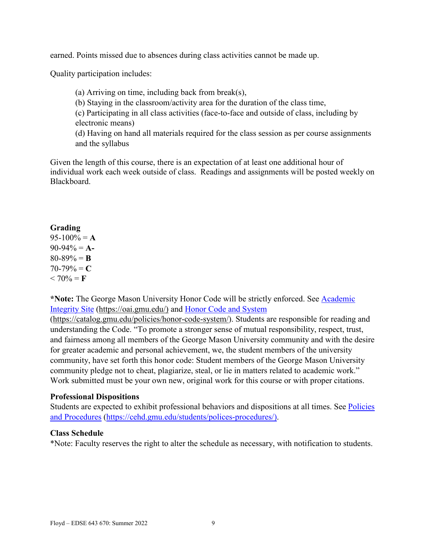earned. Points missed due to absences during class activities cannot be made up.

Quality participation includes:

(a) Arriving on time, including back from break(s),

(b) Staying in the classroom/activity area for the duration of the class time,

(c) Participating in all class activities (face-to-face and outside of class, including by electronic means)

(d) Having on hand all materials required for the class session as per course assignments and the syllabus

Given the length of this course, there is an expectation of at least one additional hour of individual work each week outside of class. Readings and assignments will be posted weekly on Blackboard.

## **Grading**

 $95-100% = A$  $90-94\% = A$  $80 - 89\% = B$  $70-79\% = C$  $< 70\% = F$ 

**\*Note:** The George Mason University Honor Code will be strictly enforced. See [Academic](https://oai.gmu.edu/)  [Integrity Site \(https://oai.gmu.edu/\)](https://oai.gmu.edu/) and [Honor Code and System](https://catalog.gmu.edu/policies/honor-code-system/)

[\(https://catalog.gmu.edu/policies/honor-code-system/\)](https://catalog.gmu.edu/policies/honor-code-system/). Students are responsible for reading and understanding the Code. "To promote a stronger sense of mutual responsibility, respect, trust, and fairness among all members of the George Mason University community and with the desire for greater academic and personal achievement, we, the student members of the university community, have set forth this honor code: Student members of the George Mason University community pledge not to cheat, plagiarize, steal, or lie in matters related to academic work." Work submitted must be your own new, original work for this course or with proper citations.

## **Professional Dispositions**

Students are expected to exhibit professional behaviors and dispositions at all times. See [Policies](https://cehd.gmu.edu/students/polices-procedures/)  [and Procedures \(https://cehd.gmu.edu/students/polices-procedures/\)](https://cehd.gmu.edu/students/polices-procedures/).

#### **Class Schedule**

\*Note: Faculty reserves the right to alter the schedule as necessary, with notification to students.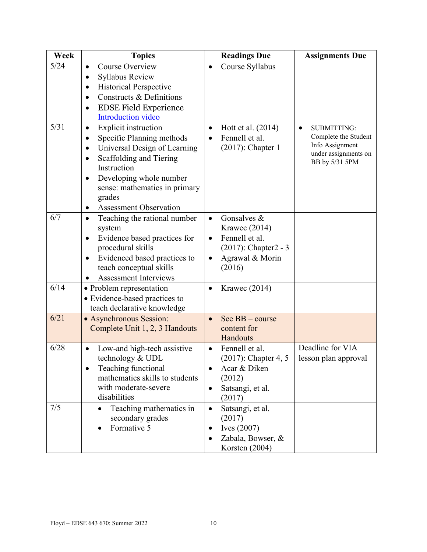| Week | <b>Topics</b>                                                                                                                                                                                                                                                                                              | <b>Readings Due</b>                                                                                                | <b>Assignments Due</b>                                                                                               |
|------|------------------------------------------------------------------------------------------------------------------------------------------------------------------------------------------------------------------------------------------------------------------------------------------------------------|--------------------------------------------------------------------------------------------------------------------|----------------------------------------------------------------------------------------------------------------------|
| 5/24 | Course Overview<br>$\bullet$<br><b>Syllabus Review</b><br>$\bullet$<br><b>Historical Perspective</b><br>$\bullet$<br>Constructs & Definitions<br>$\bullet$<br><b>EDSE Field Experience</b><br>$\bullet$<br>Introduction video                                                                              | Course Syllabus                                                                                                    |                                                                                                                      |
| 5/31 | <b>Explicit instruction</b><br>$\bullet$<br>Specific Planning methods<br>$\bullet$<br>Universal Design of Learning<br>$\bullet$<br>Scaffolding and Tiering<br>$\bullet$<br>Instruction<br>Developing whole number<br>$\bullet$<br>sense: mathematics in primary<br>grades<br><b>Assessment Observation</b> | Hott et al. (2014)<br>$\bullet$<br>Fennell et al.<br>$(2017)$ : Chapter 1                                          | <b>SUBMITTING:</b><br>$\bullet$<br>Complete the Student<br>Info Assignment<br>under assignments on<br>BB by 5/31 5PM |
| 6/7  | Teaching the rational number<br>$\bullet$<br>system<br>Evidence based practices for<br>$\bullet$<br>procedural skills<br>Evidenced based practices to<br>$\bullet$<br>teach conceptual skills<br>Assessment Interviews<br>$\bullet$                                                                        | Gonsalves &<br>$\bullet$<br>Krawec $(2014)$<br>Fennell et al.<br>(2017): Chapter2 - 3<br>Agrawal & Morin<br>(2016) |                                                                                                                      |
| 6/14 | • Problem representation<br>• Evidence-based practices to<br>teach declarative knowledge                                                                                                                                                                                                                   | Krawec $(2014)$                                                                                                    |                                                                                                                      |
| 6/21 | • Asynchronous Session:<br>Complete Unit 1, 2, 3 Handouts                                                                                                                                                                                                                                                  | See BB - course<br>$\bullet$<br>content for<br>Handouts                                                            |                                                                                                                      |
| 6/28 | Low-and high-tech assistive<br>technology & UDL<br>Teaching functional<br>mathematics skills to students<br>with moderate-severe<br>disabilities                                                                                                                                                           | Fennell et al.<br>$\bullet$<br>(2017): Chapter 4, 5<br>Acar & Diken<br>(2012)<br>Satsangi, et al.<br>(2017)        | Deadline for VIA<br>lesson plan approval                                                                             |
| 7/5  | Teaching mathematics in<br>$\bullet$<br>secondary grades<br>Formative 5                                                                                                                                                                                                                                    | Satsangi, et al.<br>$\bullet$<br>(2017)<br>Ives $(2007)$<br>٠<br>Zabala, Bowser, &<br>Korsten (2004)               |                                                                                                                      |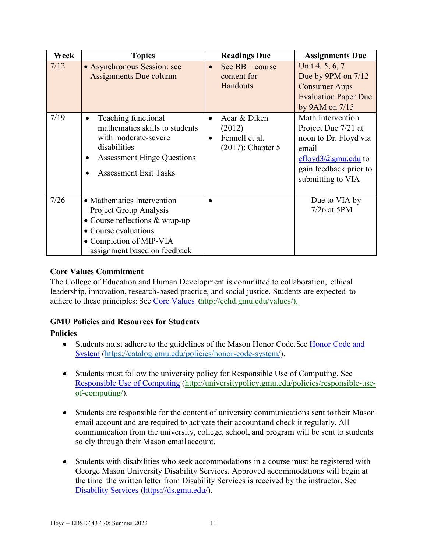| Week | <b>Topics</b>                                                                                                                                                                   |           | <b>Readings Due</b>                                              | <b>Assignments Due</b>                                                                                                                            |
|------|---------------------------------------------------------------------------------------------------------------------------------------------------------------------------------|-----------|------------------------------------------------------------------|---------------------------------------------------------------------------------------------------------------------------------------------------|
| 7/12 | • Asynchronous Session: see<br>Assignments Due column                                                                                                                           | $\bullet$ | See $BB - course$<br>content for<br>Handouts                     | Unit 4, 5, 6, 7<br>Due by $9PM$ on $7/12$<br><b>Consumer Apps</b><br><b>Evaluation Paper Due</b><br>by $9AM$ on $7/15$                            |
| 7/19 | Teaching functional<br>$\bullet$<br>mathematics skills to students<br>with moderate-severe<br>disabilities<br><b>Assessment Hinge Questions</b><br><b>Assessment Exit Tasks</b> |           | Acar & Diken<br>(2012)<br>Fennell et al.<br>$(2017)$ : Chapter 5 | Math Intervention<br>Project Due 7/21 at<br>noon to Dr. Floyd via<br>email<br>$cfloyd3@gmu.edu$ to<br>gain feedback prior to<br>submitting to VIA |
| 7/26 | • Mathematics Intervention<br>Project Group Analysis<br>• Course reflections & wrap-up<br>• Course evaluations<br>• Completion of MIP-VIA<br>assignment based on feedback       |           |                                                                  | Due to VIA by<br>$7/26$ at $5PM$                                                                                                                  |

## **Core Values Commitment**

The College of Education and Human Development is committed to collaboration, ethical leadership, innovation, research-based practice, and social justice. Students are expected to adhere to these principles: See [Core Values \(http://cehd.gmu.edu/values/\)](http://cehd.gmu.edu/values/).

## **GMU Policies and Resources for Students**

## **Policies**

- Students must adhere to the guidelines of the Mason Honor Code. See Honor Code and [System \(https://catalog.gmu.edu/policies/honor-code-system/\)](https://catalog.gmu.edu/policies/honor-code-system/).
- Students must follow the university policy for Responsible Use of Computing. See [Responsible Use of Computing \(http://universitypolicy.gmu.edu/policies/responsible-use](http://universitypolicy.gmu.edu/policies/responsible-use-of-computing/)[of-computing/\)](http://universitypolicy.gmu.edu/policies/responsible-use-of-computing/).
- Students are responsible for the content of university communications sent to their Mason email account and are required to activate their account and check it regularly. All communication from the university, college, school, and program will be sent to students solely through their Mason email account.
- Students with disabilities who seek accommodations in a course must be registered with George Mason University Disability Services. Approved accommodations will begin at the time the written letter from Disability Services is received by the instructor. See [Disability Services \(https://ds.gmu.edu/\)](https://ds.gmu.edu/).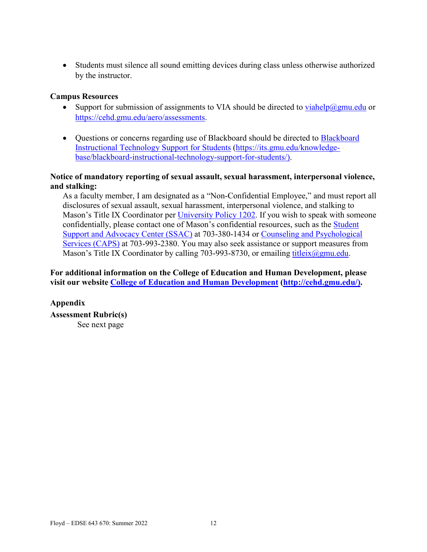• Students must silence all sound emitting devices during class unless otherwise authorized by the instructor.

#### **Campus Resources**

- Support for submission of assignments to VIA should be directed to [viahelp@gmu.edu](mailto:viahelp@gmu.edu) or [https://cehd.gmu.edu/aero/assessments.](https://cehd.gmu.edu/aero/assessments)
- Questions or concerns regarding use of [Blackboard](https://its.gmu.edu/knowledge-base/blackboard-instructional-technology-support-for-students/) should be directed to Blackboard [Instructional Technology Support for Students \(https://its.gmu.edu/knowledge](https://its.gmu.edu/knowledge-base/blackboard-instructional-technology-support-for-students/)[base/blackboard-instructional-technology-support-for-students/\)](https://its.gmu.edu/knowledge-base/blackboard-instructional-technology-support-for-students/).

#### **Notice of mandatory reporting of sexual assault, sexual harassment, interpersonal violence, and stalking:**

As a faculty member, I am designated as a "Non-Confidential Employee," and must report all disclosures of sexual assault, sexual harassment, interpersonal violence, and stalking to Mason's Title IX Coordinator per [University Policy 1202.](https://universitypolicy.gmu.edu/policies/sexual-harassment-policy/) If you wish to speak with someone confidentially, please contact one of Mason's confidential resources, such as the [Student](https://ssac.gmu.edu/) [Support and Advocacy Center \(SSAC\)](https://ssac.gmu.edu/) at 703-380-1434 or [Counseling and Psychological](https://caps.gmu.edu/)  [Services \(CAPS\)](https://caps.gmu.edu/) at 703-993-2380. You may also seek assistance or support measures from Mason's Title IX Coordinator by calling 703-993-8730, or emailing titleix $\omega$ gmu.edu.

**For additional information on the College of Education and Human Development, please visit our website [College of Education and Human Development](http://cehd.gmu.edu/) [\(http://cehd.gmu.edu/\)](https://cehd.gmu.edu/).** 

**Appendix Assessment Rubric(s)** See next page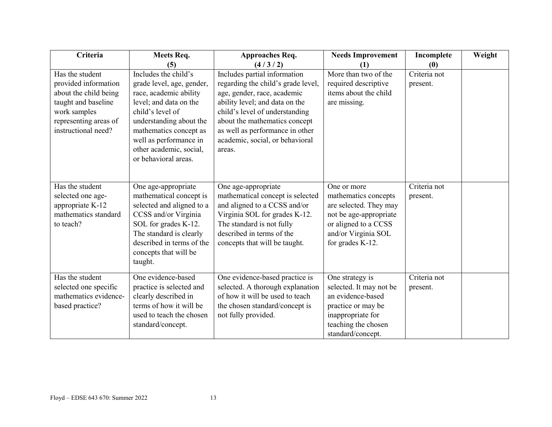| Criteria                                                                                                                                                | Meets Req.                                                                                                                                                                                                                                                  | <b>Approaches Req.</b>                                                                                                                                                                                                                                                                 | <b>Needs Improvement</b>                                                                                                                                   | Incomplete                                    | Weight |
|---------------------------------------------------------------------------------------------------------------------------------------------------------|-------------------------------------------------------------------------------------------------------------------------------------------------------------------------------------------------------------------------------------------------------------|----------------------------------------------------------------------------------------------------------------------------------------------------------------------------------------------------------------------------------------------------------------------------------------|------------------------------------------------------------------------------------------------------------------------------------------------------------|-----------------------------------------------|--------|
|                                                                                                                                                         | (5)                                                                                                                                                                                                                                                         | (4/3/2)                                                                                                                                                                                                                                                                                | (1)                                                                                                                                                        | (0)                                           |        |
| Has the student<br>provided information<br>about the child being<br>taught and baseline<br>work samples<br>representing areas of<br>instructional need? | Includes the child's<br>grade level, age, gender,<br>race, academic ability<br>level; and data on the<br>child's level of<br>understanding about the<br>mathematics concept as<br>well as performance in<br>other academic, social,<br>or behavioral areas. | Includes partial information<br>regarding the child's grade level,<br>age, gender, race, academic<br>ability level; and data on the<br>child's level of understanding<br>about the mathematics concept<br>as well as performance in other<br>academic, social, or behavioral<br>areas. | More than two of the<br>required descriptive<br>items about the child<br>are missing.                                                                      | $\overline{\text{C}}$ riteria not<br>present. |        |
| Has the student<br>selected one age-<br>appropriate K-12<br>mathematics standard<br>to teach?                                                           | One age-appropriate<br>mathematical concept is<br>selected and aligned to a<br>CCSS and/or Virginia<br>SOL for grades K-12.<br>The standard is clearly<br>described in terms of the<br>concepts that will be<br>taught.                                     | One age-appropriate<br>mathematical concept is selected<br>and aligned to a CCSS and/or<br>Virginia SOL for grades K-12.<br>The standard is not fully<br>described in terms of the<br>concepts that will be taught.                                                                    | One or more<br>mathematics concepts<br>are selected. They may<br>not be age-appropriate<br>or aligned to a CCSS<br>and/or Virginia SOL<br>for grades K-12. | Criteria not<br>present.                      |        |
| Has the student<br>selected one specific<br>mathematics evidence-<br>based practice?                                                                    | One evidence-based<br>practice is selected and<br>clearly described in<br>terms of how it will be<br>used to teach the chosen<br>standard/concept.                                                                                                          | One evidence-based practice is<br>selected. A thorough explanation<br>of how it will be used to teach<br>the chosen standard/concept is<br>not fully provided.                                                                                                                         | One strategy is<br>selected. It may not be<br>an evidence-based<br>practice or may be<br>inappropriate for<br>teaching the chosen<br>standard/concept.     | Criteria not<br>present.                      |        |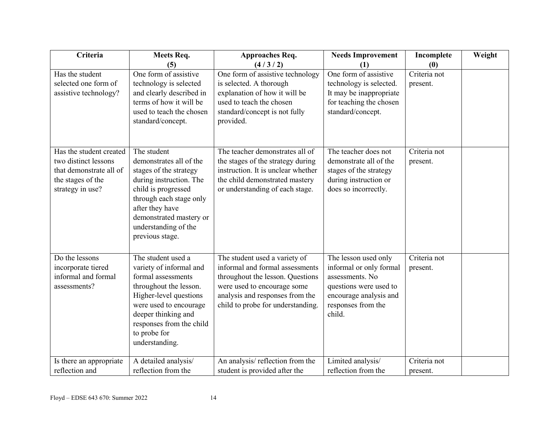| Criteria                                                                                                            | Meets Req.                                                                                                                                                                                                                             | <b>Approaches Req.</b>                                                                                                                                                                                      | <b>Needs Improvement</b>                                                                                                                               | Incomplete               | Weight |
|---------------------------------------------------------------------------------------------------------------------|----------------------------------------------------------------------------------------------------------------------------------------------------------------------------------------------------------------------------------------|-------------------------------------------------------------------------------------------------------------------------------------------------------------------------------------------------------------|--------------------------------------------------------------------------------------------------------------------------------------------------------|--------------------------|--------|
|                                                                                                                     | (5)                                                                                                                                                                                                                                    | (4/3/2)                                                                                                                                                                                                     | (1)                                                                                                                                                    | (0)                      |        |
| Has the student<br>selected one form of<br>assistive technology?                                                    | One form of assistive<br>technology is selected<br>and clearly described in<br>terms of how it will be<br>used to teach the chosen<br>standard/concept.                                                                                | One form of assistive technology<br>is selected. A thorough<br>explanation of how it will be<br>used to teach the chosen<br>standard/concept is not fully<br>provided.                                      | One form of assistive<br>technology is selected.<br>It may be inappropriate<br>for teaching the chosen<br>standard/concept.                            | Criteria not<br>present. |        |
| Has the student created<br>two distinct lessons<br>that demonstrate all of<br>the stages of the<br>strategy in use? | The student<br>demonstrates all of the<br>stages of the strategy<br>during instruction. The<br>child is progressed<br>through each stage only<br>after they have<br>demonstrated mastery or<br>understanding of the<br>previous stage. | The teacher demonstrates all of<br>the stages of the strategy during<br>instruction. It is unclear whether<br>the child demonstrated mastery<br>or understanding of each stage.                             | The teacher does not<br>demonstrate all of the<br>stages of the strategy<br>during instruction or<br>does so incorrectly.                              | Criteria not<br>present. |        |
| Do the lessons<br>incorporate tiered<br>informal and formal<br>assessments?                                         | The student used a<br>variety of informal and<br>formal assessments<br>throughout the lesson.<br>Higher-level questions<br>were used to encourage<br>deeper thinking and<br>responses from the child<br>to probe for<br>understanding. | The student used a variety of<br>informal and formal assessments<br>throughout the lesson. Questions<br>were used to encourage some<br>analysis and responses from the<br>child to probe for understanding. | The lesson used only<br>informal or only formal<br>assessments. No<br>questions were used to<br>encourage analysis and<br>responses from the<br>child. | Criteria not<br>present. |        |
| Is there an appropriate<br>reflection and                                                                           | A detailed analysis/<br>reflection from the                                                                                                                                                                                            | An analysis/reflection from the<br>student is provided after the                                                                                                                                            | Limited analysis/<br>reflection from the                                                                                                               | Criteria not<br>present. |        |